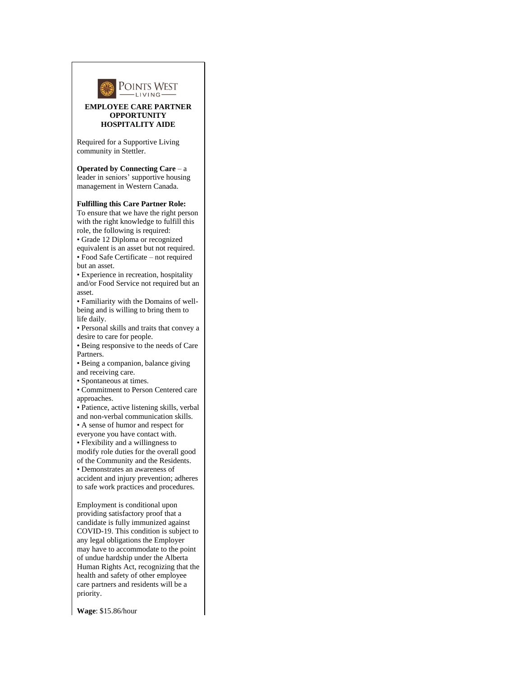

## **EMPLOYEE CARE PARTNER OPPORTUNITY HOSPITALITY AIDE**

Required for a Supportive Living community in Stettler.

**Operated by Connecting Care** – a leader in seniors' supportive housing management in Western Canada.

## **Fulfilling this Care Partner Role:**

To ensure that we have the right person with the right knowledge to fulfill this role, the following is required:

• Grade 12 Diploma or recognized equivalent is an asset but not required.

• Food Safe Certificate – not required but an asset.

• Experience in recreation, hospitality and/or Food Service not required but an asset.

• Familiarity with the Domains of wellbeing and is willing to bring them to life daily.

• Personal skills and traits that convey a desire to care for people.

• Being responsive to the needs of Care Partners.

• Being a companion, balance giving and receiving care.

• Spontaneous at times.

• Commitment to Person Centered care approaches.

• Patience, active listening skills, verbal and non-verbal communication skills.

• A sense of humor and respect for

everyone you have contact with.

• Flexibility and a willingness to modify role duties for the overall good of the Community and the Residents.

• Demonstrates an awareness of accident and injury prevention; adheres to safe work practices and procedures.

Employment is conditional upon providing satisfactory proof that a candidate is fully immunized against COVID-19. This condition is subject to any legal obligations the Employer may have to accommodate to the point of undue hardship under the Alberta Human Rights Act, recognizing that the health and safety of other employee care partners and residents will be a priority.

**Wage**: \$15.86/hour